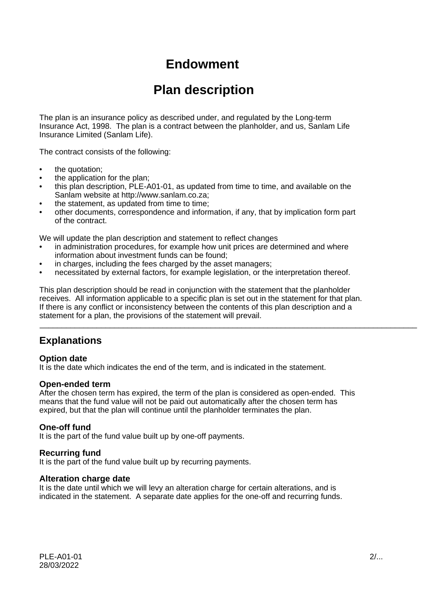# **Endowment**

# **Plan description**

The plan is an insurance policy as described under, and regulated by the Long-term Insurance Act, 1998. The plan is a contract between the planholder, and us, Sanlam Life Insurance Limited (Sanlam Life).

The contract consists of the following:

- the quotation;
- the application for the plan;
- this plan description, PLE-A01-01, as updated from time to time, and available on the Sanlam website at http://www.sanlam.co.za;
- the statement, as updated from time to time;
- other documents, correspondence and information, if any, that by implication form part of the contract.

We will update the plan description and statement to reflect changes

- in administration procedures, for example how unit prices are determined and where information about investment funds can be found;
- in charges, including the fees charged by the asset managers;
- necessitated by external factors, for example legislation, or the interpretation thereof.

This plan description should be read in conjunction with the statement that the planholder receives. All information applicable to a specific plan is set out in the statement for that plan. If there is any conflict or inconsistency between the contents of this plan description and a statement for a plan, the provisions of the statement will prevail.

\_\_\_\_\_\_\_\_\_\_\_\_\_\_\_\_\_\_\_\_\_\_\_\_\_\_\_\_\_\_\_\_\_\_\_\_\_\_\_\_\_\_\_\_\_\_\_\_\_\_\_\_\_\_\_\_\_\_\_\_\_\_\_\_\_\_\_\_\_\_\_\_\_\_\_\_\_\_\_\_\_\_\_\_\_\_

# **Explanations**

### **Option date**

It is the date which indicates the end of the term, and is indicated in the statement.

#### **Open-ended term**

After the chosen term has expired, the term of the plan is considered as open-ended. This means that the fund value will not be paid out automatically after the chosen term has expired, but that the plan will continue until the planholder terminates the plan.

### **One-off fund**

It is the part of the fund value built up by one-off payments.

### **Recurring fund**

It is the part of the fund value built up by recurring payments.

### **Alteration charge date**

It is the date until which we will levy an alteration charge for certain alterations, and is indicated in the statement. A separate date applies for the one-off and recurring funds.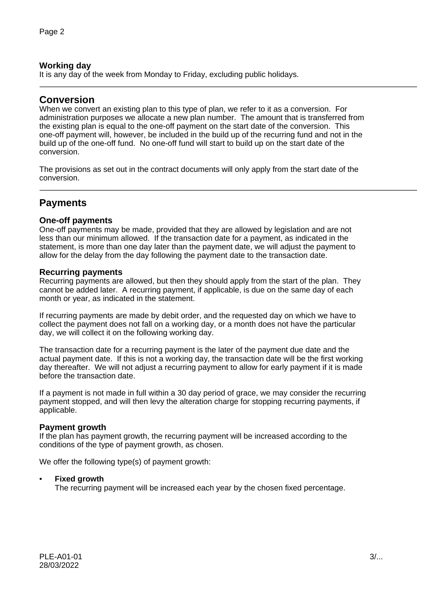### **Working day**

It is any day of the week from Monday to Friday, excluding public holidays.

### **Conversion**

When we convert an existing plan to this type of plan, we refer to it as a conversion. For administration purposes we allocate a new plan number. The amount that is transferred from the existing plan is equal to the one-off payment on the start date of the conversion. This one-off payment will, however, be included in the build up of the recurring fund and not in the build up of the one-off fund. No one-off fund will start to build up on the start date of the conversion.

\_\_\_\_\_\_\_\_\_\_\_\_\_\_\_\_\_\_\_\_\_\_\_\_\_\_\_\_\_\_\_\_\_\_\_\_\_\_\_\_\_\_\_\_\_\_\_\_\_\_\_\_\_\_\_\_\_\_\_\_\_\_\_\_\_\_\_\_\_\_\_\_\_\_\_\_\_\_\_\_\_\_\_\_\_\_

\_\_\_\_\_\_\_\_\_\_\_\_\_\_\_\_\_\_\_\_\_\_\_\_\_\_\_\_\_\_\_\_\_\_\_\_\_\_\_\_\_\_\_\_\_\_\_\_\_\_\_\_\_\_\_\_\_\_\_\_\_\_\_\_\_\_\_\_\_\_\_\_\_\_\_\_\_\_\_\_\_\_\_\_\_\_

The provisions as set out in the contract documents will only apply from the start date of the conversion.

# **Payments**

### **One-off payments**

One-off payments may be made, provided that they are allowed by legislation and are not less than our minimum allowed. If the transaction date for a payment, as indicated in the statement, is more than one day later than the payment date, we will adjust the payment to allow for the delay from the day following the payment date to the transaction date.

### **Recurring payments**

Recurring payments are allowed, but then they should apply from the start of the plan. They cannot be added later. A recurring payment, if applicable, is due on the same day of each month or year, as indicated in the statement.

If recurring payments are made by debit order, and the requested day on which we have to collect the payment does not fall on a working day, or a month does not have the particular day, we will collect it on the following working day.

The transaction date for a recurring payment is the later of the payment due date and the actual payment date. If this is not a working day, the transaction date will be the first working day thereafter. We will not adjust a recurring payment to allow for early payment if it is made before the transaction date.

If a payment is not made in full within a 30 day period of grace, we may consider the recurring payment stopped, and will then levy the alteration charge for stopping recurring payments, if applicable.

### **Payment growth**

If the plan has payment growth, the recurring payment will be increased according to the conditions of the type of payment growth, as chosen.

We offer the following type(s) of payment growth:

#### • **Fixed growth**

The recurring payment will be increased each year by the chosen fixed percentage.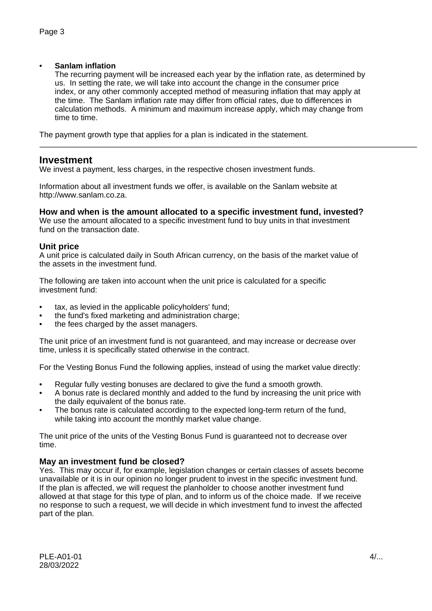### • **Sanlam inflation**

The recurring payment will be increased each year by the inflation rate, as determined by us. In setting the rate, we will take into account the change in the consumer price index, or any other commonly accepted method of measuring inflation that may apply at the time. The Sanlam inflation rate may differ from official rates, due to differences in calculation methods. A minimum and maximum increase apply, which may change from time to time.

\_\_\_\_\_\_\_\_\_\_\_\_\_\_\_\_\_\_\_\_\_\_\_\_\_\_\_\_\_\_\_\_\_\_\_\_\_\_\_\_\_\_\_\_\_\_\_\_\_\_\_\_\_\_\_\_\_\_\_\_\_\_\_\_\_\_\_\_\_\_\_\_\_\_\_\_\_\_\_\_\_\_\_\_\_\_

The payment growth type that applies for a plan is indicated in the statement.

### **Investment**

We invest a payment, less charges, in the respective chosen investment funds.

Information about all investment funds we offer, is available on the Sanlam website at http://www.sanlam.co.za.

### **How and when is the amount allocated to a specific investment fund, invested?**

We use the amount allocated to a specific investment fund to buy units in that investment fund on the transaction date.

### **Unit price**

A unit price is calculated daily in South African currency, on the basis of the market value of the assets in the investment fund.

The following are taken into account when the unit price is calculated for a specific investment fund:

- tax, as levied in the applicable policyholders' fund;
- the fund's fixed marketing and administration charge;
- the fees charged by the asset managers.

The unit price of an investment fund is not guaranteed, and may increase or decrease over time, unless it is specifically stated otherwise in the contract.

For the Vesting Bonus Fund the following applies, instead of using the market value directly:

- Regular fully vesting bonuses are declared to give the fund a smooth growth.
- A bonus rate is declared monthly and added to the fund by increasing the unit price with the daily equivalent of the bonus rate.
- The bonus rate is calculated according to the expected long-term return of the fund, while taking into account the monthly market value change.

The unit price of the units of the Vesting Bonus Fund is guaranteed not to decrease over time.

### **May an investment fund be closed?**

Yes. This may occur if, for example, legislation changes or certain classes of assets become unavailable or it is in our opinion no longer prudent to invest in the specific investment fund. If the plan is affected, we will request the planholder to choose another investment fund allowed at that stage for this type of plan, and to inform us of the choice made. If we receive no response to such a request, we will decide in which investment fund to invest the affected part of the plan.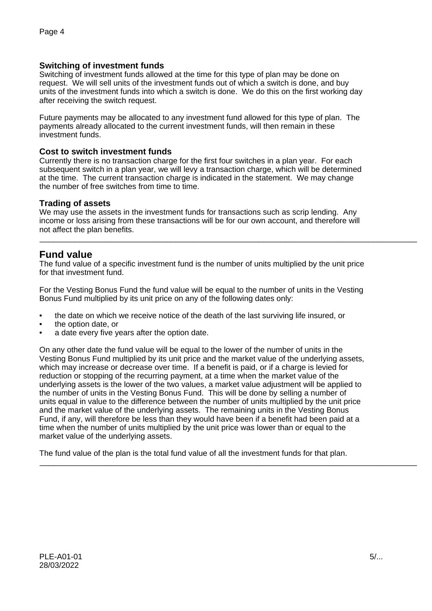### **Switching of investment funds**

Switching of investment funds allowed at the time for this type of plan may be done on request. We will sell units of the investment funds out of which a switch is done, and buy units of the investment funds into which a switch is done. We do this on the first working day after receiving the switch request.

Future payments may be allocated to any investment fund allowed for this type of plan. The payments already allocated to the current investment funds, will then remain in these investment funds.

### **Cost to switch investment funds**

Currently there is no transaction charge for the first four switches in a plan year. For each subsequent switch in a plan year, we will levy a transaction charge, which will be determined at the time. The current transaction charge is indicated in the statement. We may change the number of free switches from time to time.

### **Trading of assets**

We may use the assets in the investment funds for transactions such as scrip lending. Any income or loss arising from these transactions will be for our own account, and therefore will not affect the plan benefits.

\_\_\_\_\_\_\_\_\_\_\_\_\_\_\_\_\_\_\_\_\_\_\_\_\_\_\_\_\_\_\_\_\_\_\_\_\_\_\_\_\_\_\_\_\_\_\_\_\_\_\_\_\_\_\_\_\_\_\_\_\_\_\_\_\_\_\_\_\_\_\_\_\_\_\_\_\_\_\_\_\_\_\_\_\_\_

### **Fund value**

The fund value of a specific investment fund is the number of units multiplied by the unit price for that investment fund.

For the Vesting Bonus Fund the fund value will be equal to the number of units in the Vesting Bonus Fund multiplied by its unit price on any of the following dates only:

- the date on which we receive notice of the death of the last surviving life insured, or
- the option date, or
- a date every five years after the option date.

On any other date the fund value will be equal to the lower of the number of units in the Vesting Bonus Fund multiplied by its unit price and the market value of the underlying assets, which may increase or decrease over time. If a benefit is paid, or if a charge is levied for reduction or stopping of the recurring payment, at a time when the market value of the underlying assets is the lower of the two values, a market value adjustment will be applied to the number of units in the Vesting Bonus Fund. This will be done by selling a number of units equal in value to the difference between the number of units multiplied by the unit price and the market value of the underlying assets. The remaining units in the Vesting Bonus Fund, if any, will therefore be less than they would have been if a benefit had been paid at a time when the number of units multiplied by the unit price was lower than or equal to the market value of the underlying assets.

The fund value of the plan is the total fund value of all the investment funds for that plan.

\_\_\_\_\_\_\_\_\_\_\_\_\_\_\_\_\_\_\_\_\_\_\_\_\_\_\_\_\_\_\_\_\_\_\_\_\_\_\_\_\_\_\_\_\_\_\_\_\_\_\_\_\_\_\_\_\_\_\_\_\_\_\_\_\_\_\_\_\_\_\_\_\_\_\_\_\_\_\_\_\_\_\_\_\_\_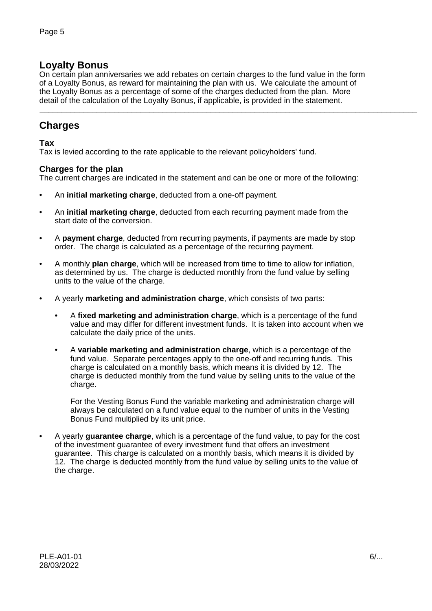# **Loyalty Bonus**

On certain plan anniversaries we add rebates on certain charges to the fund value in the form of a Loyalty Bonus, as reward for maintaining the plan with us. We calculate the amount of the Loyalty Bonus as a percentage of some of the charges deducted from the plan. More detail of the calculation of the Loyalty Bonus, if applicable, is provided in the statement.

\_\_\_\_\_\_\_\_\_\_\_\_\_\_\_\_\_\_\_\_\_\_\_\_\_\_\_\_\_\_\_\_\_\_\_\_\_\_\_\_\_\_\_\_\_\_\_\_\_\_\_\_\_\_\_\_\_\_\_\_\_\_\_\_\_\_\_\_\_\_\_\_\_\_\_\_\_\_\_\_\_\_\_\_\_\_

# **Charges**

### **Tax**

Tax is levied according to the rate applicable to the relevant policyholders' fund.

### **Charges for the plan**

The current charges are indicated in the statement and can be one or more of the following:

- An **initial marketing charge**, deducted from a one-off payment.
- An **initial marketing charge**, deducted from each recurring payment made from the start date of the conversion.
- A **payment charge**, deducted from recurring payments, if payments are made by stop order. The charge is calculated as a percentage of the recurring payment.
- A monthly **plan charge**, which will be increased from time to time to allow for inflation, as determined by us. The charge is deducted monthly from the fund value by selling units to the value of the charge.
- A yearly **marketing and administration charge**, which consists of two parts:
	- A **fixed marketing and administration charge**, which is a percentage of the fund value and may differ for different investment funds. It is taken into account when we calculate the daily price of the units.
	- A **variable marketing and administration charge**, which is a percentage of the fund value. Separate percentages apply to the one-off and recurring funds. This charge is calculated on a monthly basis, which means it is divided by 12. The charge is deducted monthly from the fund value by selling units to the value of the charge.

For the Vesting Bonus Fund the variable marketing and administration charge will always be calculated on a fund value equal to the number of units in the Vesting Bonus Fund multiplied by its unit price.

• A yearly **guarantee charge**, which is a percentage of the fund value, to pay for the cost of the investment guarantee of every investment fund that offers an investment guarantee. This charge is calculated on a monthly basis, which means it is divided by 12. The charge is deducted monthly from the fund value by selling units to the value of the charge.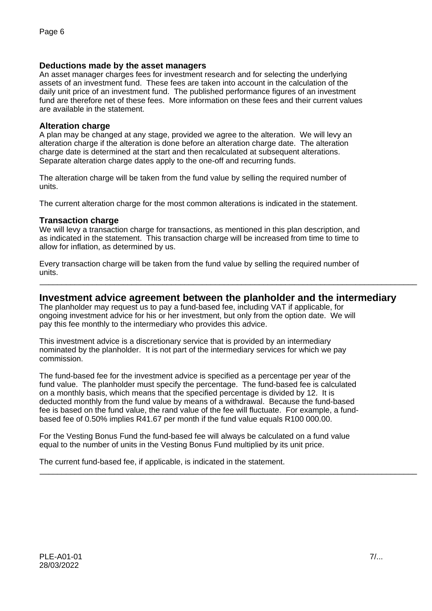### **Deductions made by the asset managers**

An asset manager charges fees for investment research and for selecting the underlying assets of an investment fund. These fees are taken into account in the calculation of the daily unit price of an investment fund. The published performance figures of an investment fund are therefore net of these fees. More information on these fees and their current values are available in the statement.

#### **Alteration charge**

A plan may be changed at any stage, provided we agree to the alteration. We will levy an alteration charge if the alteration is done before an alteration charge date. The alteration charge date is determined at the start and then recalculated at subsequent alterations. Separate alteration charge dates apply to the one-off and recurring funds.

The alteration charge will be taken from the fund value by selling the required number of units.

The current alteration charge for the most common alterations is indicated in the statement.

#### **Transaction charge**

We will levy a transaction charge for transactions, as mentioned in this plan description, and as indicated in the statement. This transaction charge will be increased from time to time to allow for inflation, as determined by us.

Every transaction charge will be taken from the fund value by selling the required number of units.

### **Investment advice agreement between the planholder and the intermediary**

\_\_\_\_\_\_\_\_\_\_\_\_\_\_\_\_\_\_\_\_\_\_\_\_\_\_\_\_\_\_\_\_\_\_\_\_\_\_\_\_\_\_\_\_\_\_\_\_\_\_\_\_\_\_\_\_\_\_\_\_\_\_\_\_\_\_\_\_\_\_\_\_\_\_\_\_\_\_\_\_\_\_\_\_\_\_

\_\_\_\_\_\_\_\_\_\_\_\_\_\_\_\_\_\_\_\_\_\_\_\_\_\_\_\_\_\_\_\_\_\_\_\_\_\_\_\_\_\_\_\_\_\_\_\_\_\_\_\_\_\_\_\_\_\_\_\_\_\_\_\_\_\_\_\_\_\_\_\_\_\_\_\_\_\_\_\_\_\_\_\_\_\_

The planholder may request us to pay a fund-based fee, including VAT if applicable, for ongoing investment advice for his or her investment, but only from the option date. We will pay this fee monthly to the intermediary who provides this advice.

This investment advice is a discretionary service that is provided by an intermediary nominated by the planholder. It is not part of the intermediary services for which we pay commission.

The fund-based fee for the investment advice is specified as a percentage per year of the fund value. The planholder must specify the percentage. The fund-based fee is calculated on a monthly basis, which means that the specified percentage is divided by 12. It is deducted monthly from the fund value by means of a withdrawal. Because the fund-based fee is based on the fund value, the rand value of the fee will fluctuate. For example, a fundbased fee of 0.50% implies R41.67 per month if the fund value equals R100 000.00.

For the Vesting Bonus Fund the fund-based fee will always be calculated on a fund value equal to the number of units in the Vesting Bonus Fund multiplied by its unit price.

The current fund-based fee, if applicable, is indicated in the statement.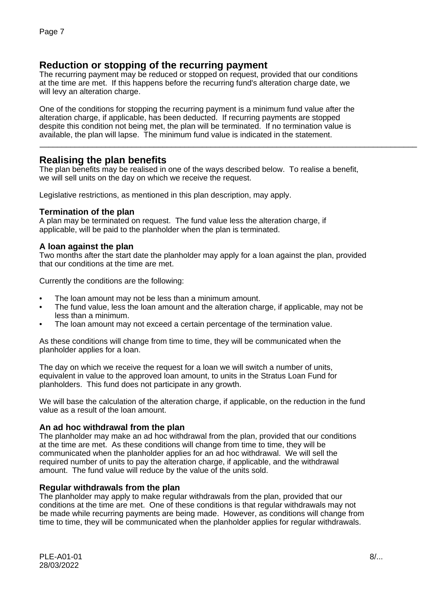# **Reduction or stopping of the recurring payment**

The recurring payment may be reduced or stopped on request, provided that our conditions at the time are met. If this happens before the recurring fund's alteration charge date, we will levy an alteration charge.

One of the conditions for stopping the recurring payment is a minimum fund value after the alteration charge, if applicable, has been deducted. If recurring payments are stopped despite this condition not being met, the plan will be terminated. If no termination value is available, the plan will lapse. The minimum fund value is indicated in the statement.

# **Realising the plan benefits**

The plan benefits may be realised in one of the ways described below. To realise a benefit, we will sell units on the day on which we receive the request.

\_\_\_\_\_\_\_\_\_\_\_\_\_\_\_\_\_\_\_\_\_\_\_\_\_\_\_\_\_\_\_\_\_\_\_\_\_\_\_\_\_\_\_\_\_\_\_\_\_\_\_\_\_\_\_\_\_\_\_\_\_\_\_\_\_\_\_\_\_\_\_\_\_\_\_\_\_\_\_\_\_\_\_\_\_\_

Legislative restrictions, as mentioned in this plan description, may apply.

### **Termination of the plan**

A plan may be terminated on request. The fund value less the alteration charge, if applicable, will be paid to the planholder when the plan is terminated.

### **A loan against the plan**

Two months after the start date the planholder may apply for a loan against the plan, provided that our conditions at the time are met.

Currently the conditions are the following:

- The loan amount may not be less than a minimum amount.
- The fund value, less the loan amount and the alteration charge, if applicable, may not be less than a minimum.
- The loan amount may not exceed a certain percentage of the termination value.

As these conditions will change from time to time, they will be communicated when the planholder applies for a loan.

The day on which we receive the request for a loan we will switch a number of units, equivalent in value to the approved loan amount, to units in the Stratus Loan Fund for planholders. This fund does not participate in any growth.

We will base the calculation of the alteration charge, if applicable, on the reduction in the fund value as a result of the loan amount.

#### **An ad hoc withdrawal from the plan**

The planholder may make an ad hoc withdrawal from the plan, provided that our conditions at the time are met. As these conditions will change from time to time, they will be communicated when the planholder applies for an ad hoc withdrawal. We will sell the required number of units to pay the alteration charge, if applicable, and the withdrawal amount. The fund value will reduce by the value of the units sold.

#### **Regular withdrawals from the plan**

The planholder may apply to make regular withdrawals from the plan, provided that our conditions at the time are met. One of these conditions is that regular withdrawals may not be made while recurring payments are being made. However, as conditions will change from time to time, they will be communicated when the planholder applies for regular withdrawals.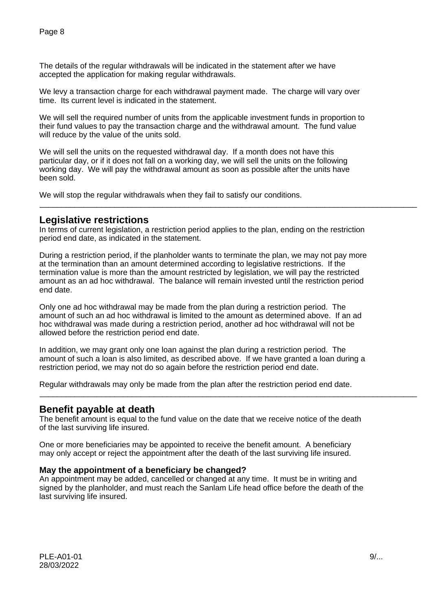The details of the regular withdrawals will be indicated in the statement after we have accepted the application for making regular withdrawals.

We levy a transaction charge for each withdrawal payment made. The charge will vary over time. Its current level is indicated in the statement.

We will sell the required number of units from the applicable investment funds in proportion to their fund values to pay the transaction charge and the withdrawal amount. The fund value will reduce by the value of the units sold.

We will sell the units on the requested withdrawal day. If a month does not have this particular day, or if it does not fall on a working day, we will sell the units on the following working day. We will pay the withdrawal amount as soon as possible after the units have been sold.

We will stop the regular withdrawals when they fail to satisfy our conditions.

### **Legislative restrictions**

In terms of current legislation, a restriction period applies to the plan, ending on the restriction period end date, as indicated in the statement.

\_\_\_\_\_\_\_\_\_\_\_\_\_\_\_\_\_\_\_\_\_\_\_\_\_\_\_\_\_\_\_\_\_\_\_\_\_\_\_\_\_\_\_\_\_\_\_\_\_\_\_\_\_\_\_\_\_\_\_\_\_\_\_\_\_\_\_\_\_\_\_\_\_\_\_\_\_\_\_\_\_\_\_\_\_\_

During a restriction period, if the planholder wants to terminate the plan, we may not pay more at the termination than an amount determined according to legislative restrictions. If the termination value is more than the amount restricted by legislation, we will pay the restricted amount as an ad hoc withdrawal. The balance will remain invested until the restriction period end date.

Only one ad hoc withdrawal may be made from the plan during a restriction period. The amount of such an ad hoc withdrawal is limited to the amount as determined above. If an ad hoc withdrawal was made during a restriction period, another ad hoc withdrawal will not be allowed before the restriction period end date.

In addition, we may grant only one loan against the plan during a restriction period. The amount of such a loan is also limited, as described above. If we have granted a loan during a restriction period, we may not do so again before the restriction period end date.

\_\_\_\_\_\_\_\_\_\_\_\_\_\_\_\_\_\_\_\_\_\_\_\_\_\_\_\_\_\_\_\_\_\_\_\_\_\_\_\_\_\_\_\_\_\_\_\_\_\_\_\_\_\_\_\_\_\_\_\_\_\_\_\_\_\_\_\_\_\_\_\_\_\_\_\_\_\_\_\_\_\_\_\_\_\_

Regular withdrawals may only be made from the plan after the restriction period end date.

### **Benefit payable at death**

The benefit amount is equal to the fund value on the date that we receive notice of the death of the last surviving life insured.

One or more beneficiaries may be appointed to receive the benefit amount. A beneficiary may only accept or reject the appointment after the death of the last surviving life insured.

### **May the appointment of a beneficiary be changed?**

An appointment may be added, cancelled or changed at any time. It must be in writing and signed by the planholder, and must reach the Sanlam Life head office before the death of the last surviving life insured.